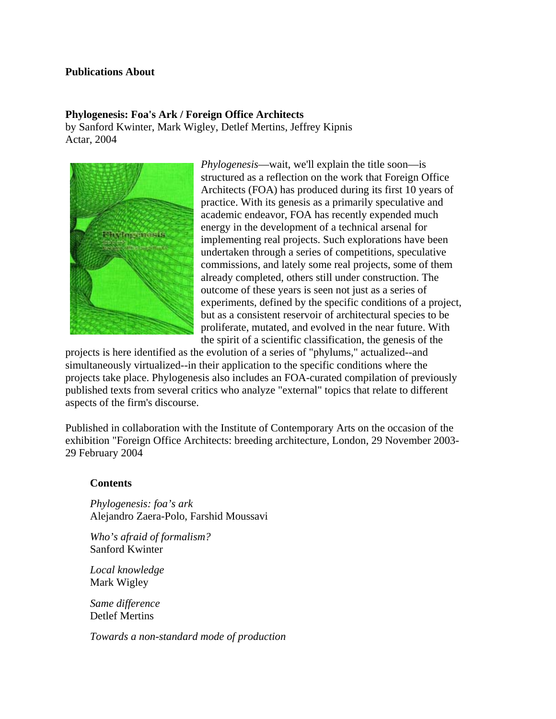## **Publications About**

### **Phylogenesis: Foa's Ark / Foreign Office Architects**

by Sanford Kwinter, Mark Wigley, Detlef Mertins, Jeffrey Kipnis Actar, 2004



*Phylogenesis*—wait, we'll explain the title soon—is structured as a reflection on the work that Foreign Office Architects (FOA) has produced during its first 10 years of practice. With its genesis as a primarily speculative and academic endeavor, FOA has recently expended much energy in the development of a technical arsenal for implementing real projects. Such explorations have been undertaken through a series of competitions, speculative commissions, and lately some real projects, some of them already completed, others still under construction. The outcome of these years is seen not just as a series of experiments, defined by the specific conditions of a project, but as a consistent reservoir of architectural species to be proliferate, mutated, and evolved in the near future. With the spirit of a scientific classification, the genesis of the

projects is here identified as the evolution of a series of "phylums," actualized--and simultaneously virtualized--in their application to the specific conditions where the projects take place. Phylogenesis also includes an FOA-curated compilation of previously published texts from several critics who analyze "external" topics that relate to different aspects of the firm's discourse.

Published in collaboration with the Institute of Contemporary Arts on the occasion of the exhibition "Foreign Office Architects: breeding architecture, London, 29 November 2003- 29 February 2004

### **Contents**

*Phylogenesis: foa's ark* Alejandro Zaera-Polo, Farshid Moussavi

*Who's afraid of formalism?* Sanford Kwinter

*Local knowledge*  Mark Wigley

*Same difference* Detlef Mertins

*Towards a non-standard mode of production*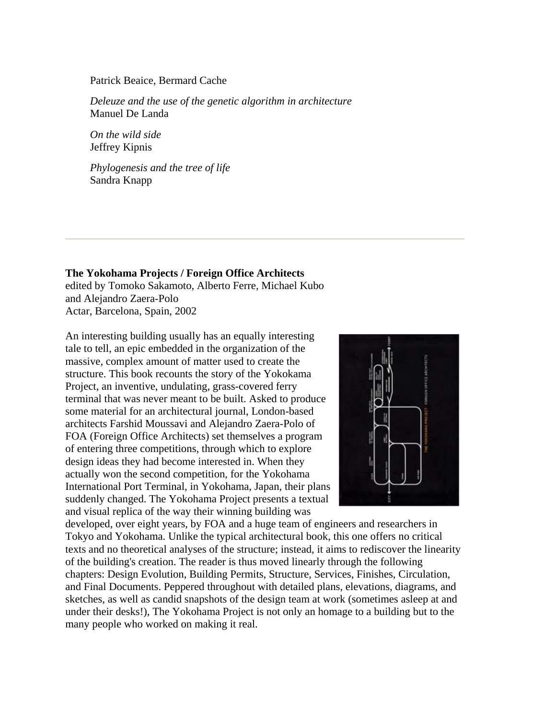#### Patrick Beaice, Bermard Cache

*Deleuze and the use of the genetic algorithm in architecture* Manuel De Landa

*On the wild side* Jeffrey Kipnis

*Phylogenesis and the tree of life* Sandra Knapp

**The Yokohama Projects / Foreign Office Architects** edited by Tomoko Sakamoto, Alberto Ferre, Michael Kubo and Alejandro Zaera-Polo Actar, Barcelona, Spain, 2002

An interesting building usually has an equally interesting tale to tell, an epic embedded in the organization of the massive, complex amount of matter used to create the structure. This book recounts the story of the Yokokama Project, an inventive, undulating, grass-covered ferry terminal that was never meant to be built. Asked to produce some material for an architectural journal, London-based architects Farshid Moussavi and Alejandro Zaera-Polo of FOA (Foreign Office Architects) set themselves a program of entering three competitions, through which to explore design ideas they had become interested in. When they actually won the second competition, for the Yokohama International Port Terminal, in Yokohama, Japan, their plans suddenly changed. The Yokohama Project presents a textual and visual replica of the way their winning building was



developed, over eight years, by FOA and a huge team of engineers and researchers in Tokyo and Yokohama. Unlike the typical architectural book, this one offers no critical texts and no theoretical analyses of the structure; instead, it aims to rediscover the linearity of the building's creation. The reader is thus moved linearly through the following chapters: Design Evolution, Building Permits, Structure, Services, Finishes, Circulation, and Final Documents. Peppered throughout with detailed plans, elevations, diagrams, and sketches, as well as candid snapshots of the design team at work (sometimes asleep at and under their desks!), The Yokohama Project is not only an homage to a building but to the many people who worked on making it real.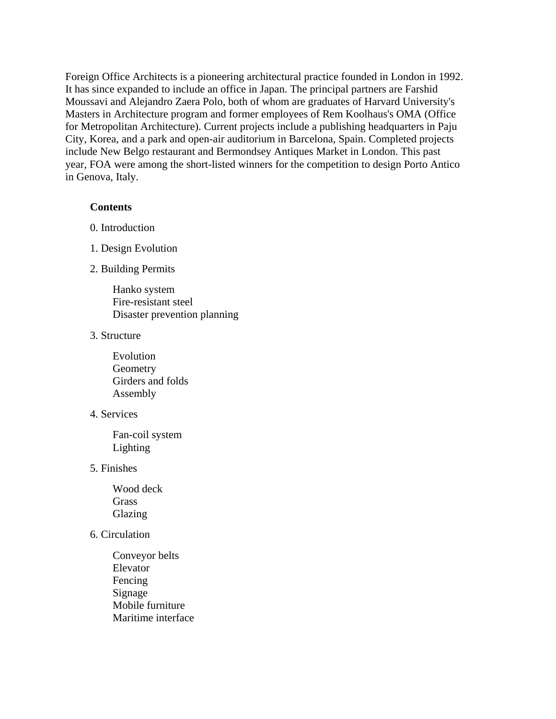Foreign Office Architects is a pioneering architectural practice founded in London in 1992. It has since expanded to include an office in Japan. The principal partners are Farshid Moussavi and Alejandro Zaera Polo, both of whom are graduates of Harvard University's Masters in Architecture program and former employees of Rem Koolhaus's OMA (Office for Metropolitan Architecture). Current projects include a publishing headquarters in Paju City, Korea, and a park and open-air auditorium in Barcelona, Spain. Completed projects include New Belgo restaurant and Bermondsey Antiques Market in London. This past year, FOA were among the short-listed winners for the competition to design Porto Antico in Genova, Italy.

### **Contents**

- 0. Introduction
- 1. Design Evolution
- 2. Building Permits

Hanko system Fire-resistant steel Disaster prevention planning

## 3. Structure

Evolution **Geometry** Girders and folds Assembly

### 4. Services

 Fan-coil system Lighting

5. Finishes

Wood deck **Grass** Glazing

## 6. Circulation

Conveyor belts Elevator Fencing Signage Mobile furniture Maritime interface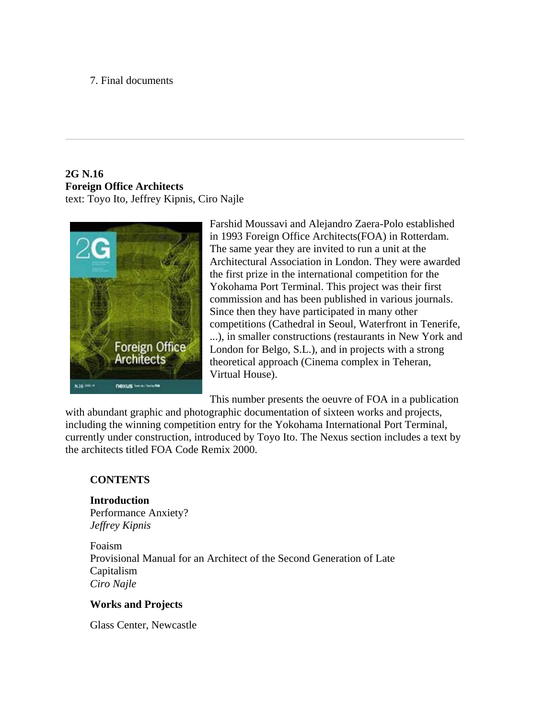## 7. Final documents

# **2G N.16 Foreign Office Architects** text: Toyo Ito, Jeffrey Kipnis, Ciro Najle



Farshid Moussavi and Alejandro Zaera-Polo established in 1993 Foreign Office Architects(FOA) in Rotterdam. The same year they are invited to run a unit at the Architectural Association in London. They were awarded the first prize in the international competition for the Yokohama Port Terminal. This project was their first commission and has been published in various journals. Since then they have participated in many other competitions (Cathedral in Seoul, Waterfront in Tenerife, ...), in smaller constructions (restaurants in New York and London for Belgo, S.L.), and in projects with a strong theoretical approach (Cinema complex in Teheran, Virtual House).

This number presents the oeuvre of FOA in a publication

with abundant graphic and photographic documentation of sixteen works and projects, including the winning competition entry for the Yokohama International Port Terminal, currently under construction, introduced by Toyo Ito. The Nexus section includes a text by the architects titled FOA Code Remix 2000.

## **CONTENTS**

## **Introduction** Performance Anxiety? *Jeffrey Kipnis*

Foaism Provisional Manual for an Architect of the Second Generation of Late Capitalism *Ciro Najle*

## **Works and Projects**

Glass Center, Newcastle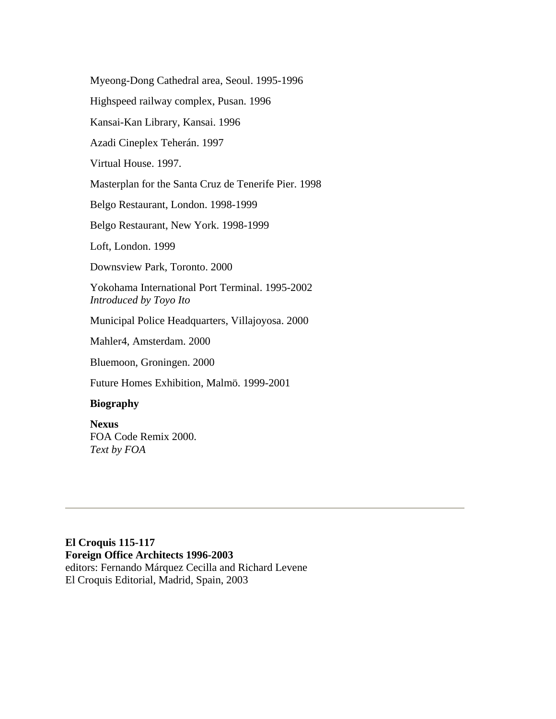Myeong-Dong Cathedral area, Seoul. 1995-1996

Highspeed railway complex, Pusan. 1996

Kansai-Kan Library, Kansai. 1996

Azadi Cineplex Teherán. 1997

Virtual House. 1997.

Masterplan for the Santa Cruz de Tenerife Pier. 1998

Belgo Restaurant, London. 1998-1999

Belgo Restaurant, New York. 1998-1999

Loft, London. 1999

Downsview Park, Toronto. 2000

Yokohama International Port Terminal. 1995-2002 *Introduced by Toyo Ito*

Municipal Police Headquarters, Villajoyosa. 2000

Mahler4, Amsterdam. 2000

Bluemoon, Groningen. 2000

Future Homes Exhibition, Malmö. 1999-2001

## **Biography**

## **Nexus**

FOA Code Remix 2000. *Text by FOA*

## **El Croquis 115-117 Foreign Office Architects 1996-2003** editors: Fernando Márquez Cecilla and Richard Levene El Croquis Editorial, Madrid, Spain, 2003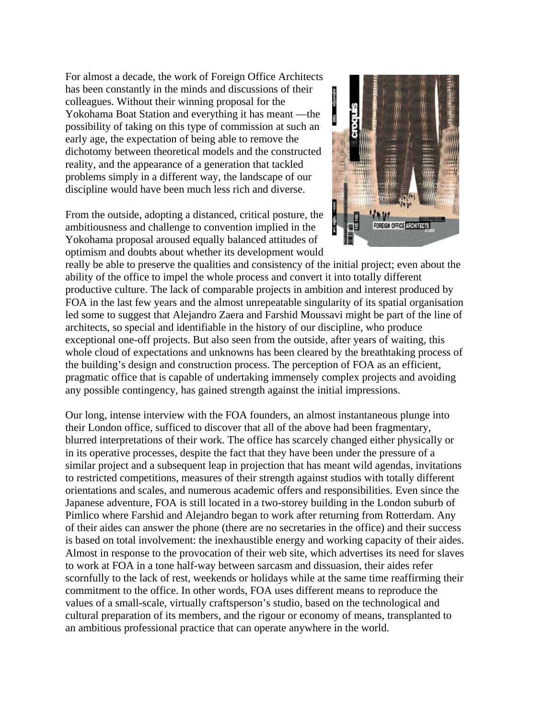For almost a decade, the work of Foreign Office Architects has been constantly in the minds and discussions of their colleagues. Without their winning proposal for the Yokohama Boat Station and everything it has meant —the possibility of taking on this type of commission at such an early age, the expectation of being able to remove the dichotomy between theoretical models and the constructed reality, and the appearance of a generation that tackled problems simply in a different way, the landscape of our discipline would have been much less rich and diverse.

From the outside, adopting a distanced, critical posture, the ambitiousness and challenge to convention implied in the Yokohama proposal aroused equally balanced attitudes of optimism and doubts about whether its development would



really be able to preserve the qualities and consistency of the initial project; even about the ability of the office to impel the whole process and convert it into totally different productive culture. The lack of comparable projects in ambition and interest produced by FOA in the last few years and the almost unrepeatable singularity of its spatial organisation led some to suggest that Alejandro Zaera and Farshid Moussavi might be part of the line of architects, so special and identifiable in the history of our discipline, who produce exceptional one-off projects. But also seen from the outside, after years of waiting, this whole cloud of expectations and unknowns has been cleared by the breathtaking process of the building's design and construction process. The perception of FOA as an efficient, pragmatic office that is capable of undertaking immensely complex projects and avoiding any possible contingency, has gained strength against the initial impressions.

Our long, intense interview with the FOA founders, an almost instantaneous plunge into their London office, sufficed to discover that all of the above had been fragmentary, blurred interpretations of their work. The office has scarcely changed either physically or in its operative processes, despite the fact that they have been under the pressure of a similar project and a subsequent leap in projection that has meant wild agendas, invitations to restricted competitions, measures of their strength against studios with totally different orientations and scales, and numerous academic offers and responsibilities. Even since the Japanese adventure, FOA is still located in a two-storey building in the London suburb of Pimlico where Farshid and Alejandro began to work after returning from Rotterdam. Any of their aides can answer the phone (there are no secretaries in the office) and their success is based on total involvement: the inexhaustible energy and working capacity of their aides. Almost in response to the provocation of their web site, which advertises its need for slaves to work at FOA in a tone half-way between sarcasm and dissuasion, their aides refer scornfully to the lack of rest, weekends or holidays while at the same time reaffirming their commitment to the office. In other words, FOA uses different means to reproduce the values of a small-scale, virtually craftsperson's studio, based on the technological and cultural preparation of its members, and the rigour or economy of means, transplanted to an ambitious professional practice that can operate anywhere in the world.